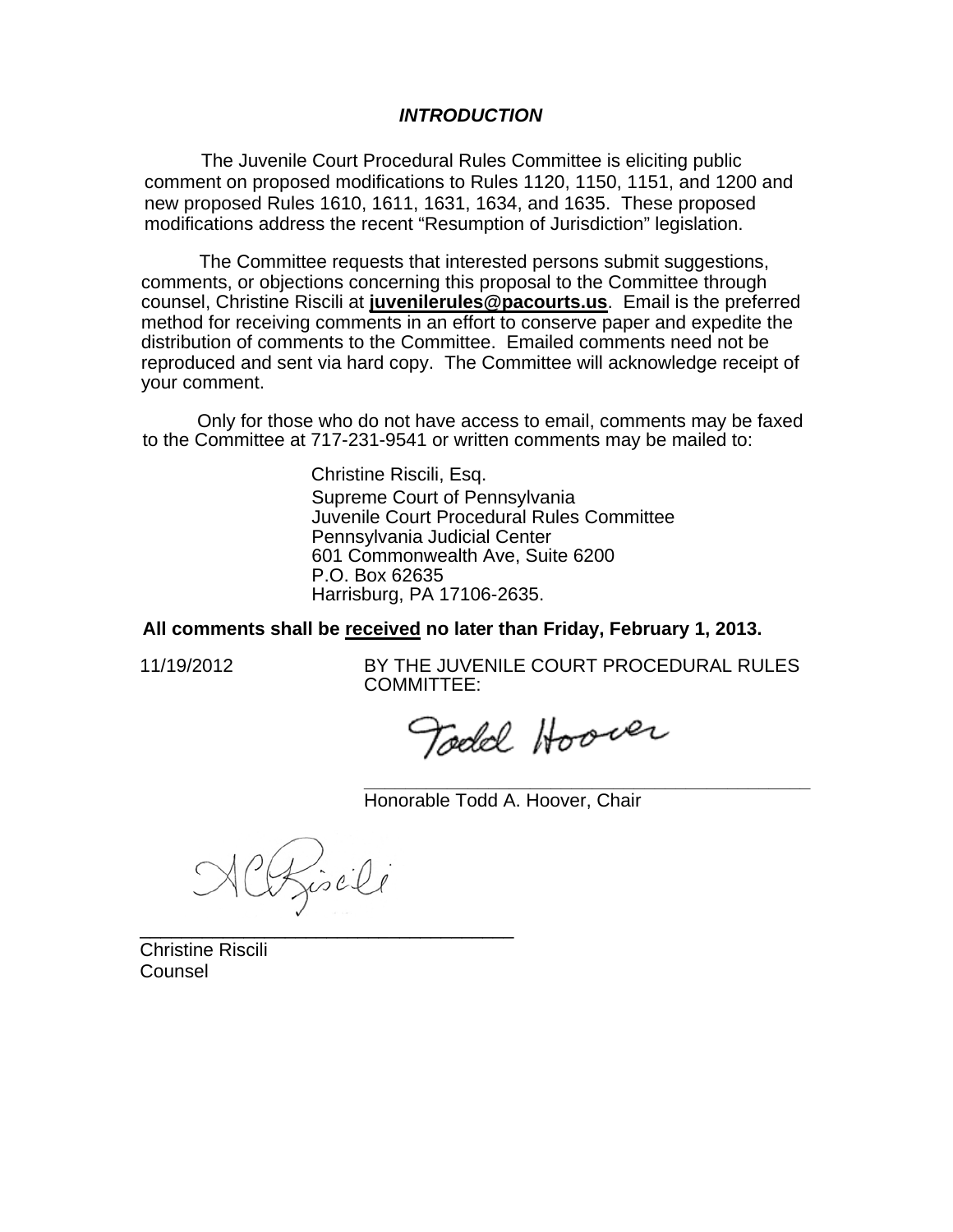### *INTRODUCTION*

The Juvenile Court Procedural Rules Committee is eliciting public comment on proposed modifications to Rules 1120, 1150, 1151, and 1200 and new proposed Rules 1610, 1611, 1631, 1634, and 1635. These proposed modifications address the recent "Resumption of Jurisdiction" legislation.

The Committee requests that interested persons submit suggestions, comments, or objections concerning this proposal to the Committee through counsel, Christine Riscili at **juvenilerules@pacourts.us**. Email is the preferred method for receiving comments in an effort to conserve paper and expedite the distribution of comments to the Committee. Emailed comments need not be reproduced and sent via hard copy. The Committee will acknowledge receipt of your comment.

 Only for those who do not have access to email, comments may be faxed to the Committee at 717-231-9541 or written comments may be mailed to:

> Christine Riscili, Esq. Supreme Court of Pennsylvania Juvenile Court Procedural Rules Committee Pennsylvania Judicial Center 601 Commonwealth Ave, Suite 6200 P.O. Box 62635 Harrisburg, PA 17106-2635.

**All comments shall be received no later than Friday, February 1, 2013.** 

11/19/2012 BY THE JUVENILE COURT PROCEDURAL RULES COMMITTEE:

**\_\_\_\_\_\_\_\_\_\_\_\_\_\_\_\_\_\_\_\_\_\_\_\_\_\_\_\_\_\_\_\_\_\_\_\_\_\_\_\_\_\_\_** 

Todd Hoover

Honorable Todd A. Hoover, Chair

Chiseli

\_\_\_\_\_\_\_\_\_\_\_\_\_\_\_\_\_\_\_\_\_\_\_\_\_\_\_\_\_\_\_\_\_\_\_\_

Christine Riscili Counsel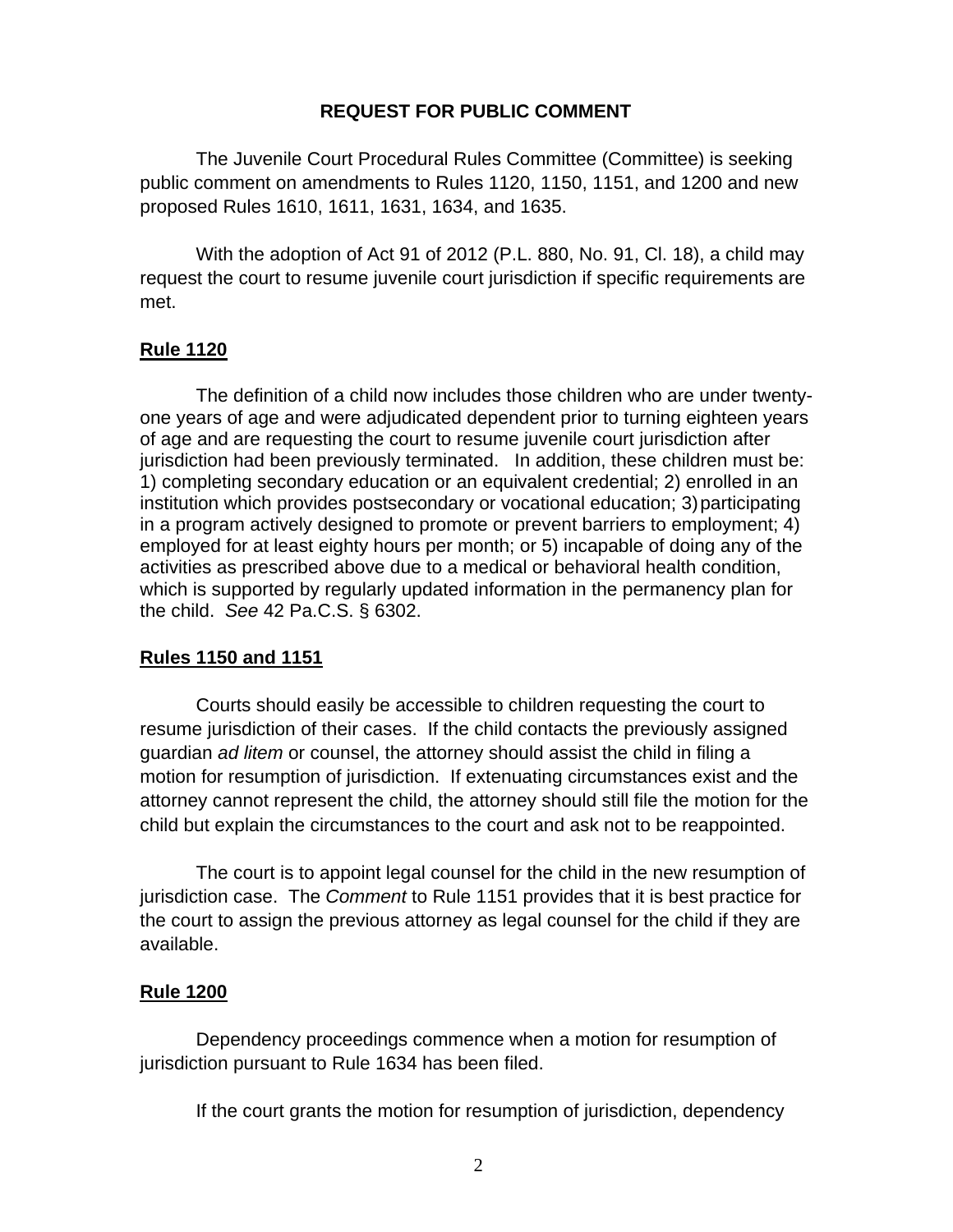# **REQUEST FOR PUBLIC COMMENT**

The Juvenile Court Procedural Rules Committee (Committee) is seeking public comment on amendments to Rules 1120, 1150, 1151, and 1200 and new proposed Rules 1610, 1611, 1631, 1634, and 1635.

With the adoption of Act 91 of 2012 (P.L. 880, No. 91, Cl. 18), a child may request the court to resume juvenile court jurisdiction if specific requirements are met.

# **Rule 1120**

The definition of a child now includes those children who are under twentyone years of age and were adjudicated dependent prior to turning eighteen years of age and are requesting the court to resume juvenile court jurisdiction after jurisdiction had been previously terminated. In addition, these children must be: 1) completing secondary education or an equivalent credential; 2) enrolled in an institution which provides postsecondary or vocational education; 3) participating in a program actively designed to promote or prevent barriers to employment; 4) employed for at least eighty hours per month; or 5) incapable of doing any of the activities as prescribed above due to a medical or behavioral health condition, which is supported by regularly updated information in the permanency plan for the child. *See* 42 Pa.C.S. § 6302.

# **Rules 1150 and 1151**

Courts should easily be accessible to children requesting the court to resume jurisdiction of their cases. If the child contacts the previously assigned guardian *ad litem* or counsel, the attorney should assist the child in filing a motion for resumption of jurisdiction. If extenuating circumstances exist and the attorney cannot represent the child, the attorney should still file the motion for the child but explain the circumstances to the court and ask not to be reappointed.

The court is to appoint legal counsel for the child in the new resumption of jurisdiction case. The *Comment* to Rule 1151 provides that it is best practice for the court to assign the previous attorney as legal counsel for the child if they are available.

# **Rule 1200**

Dependency proceedings commence when a motion for resumption of jurisdiction pursuant to Rule 1634 has been filed.

If the court grants the motion for resumption of jurisdiction, dependency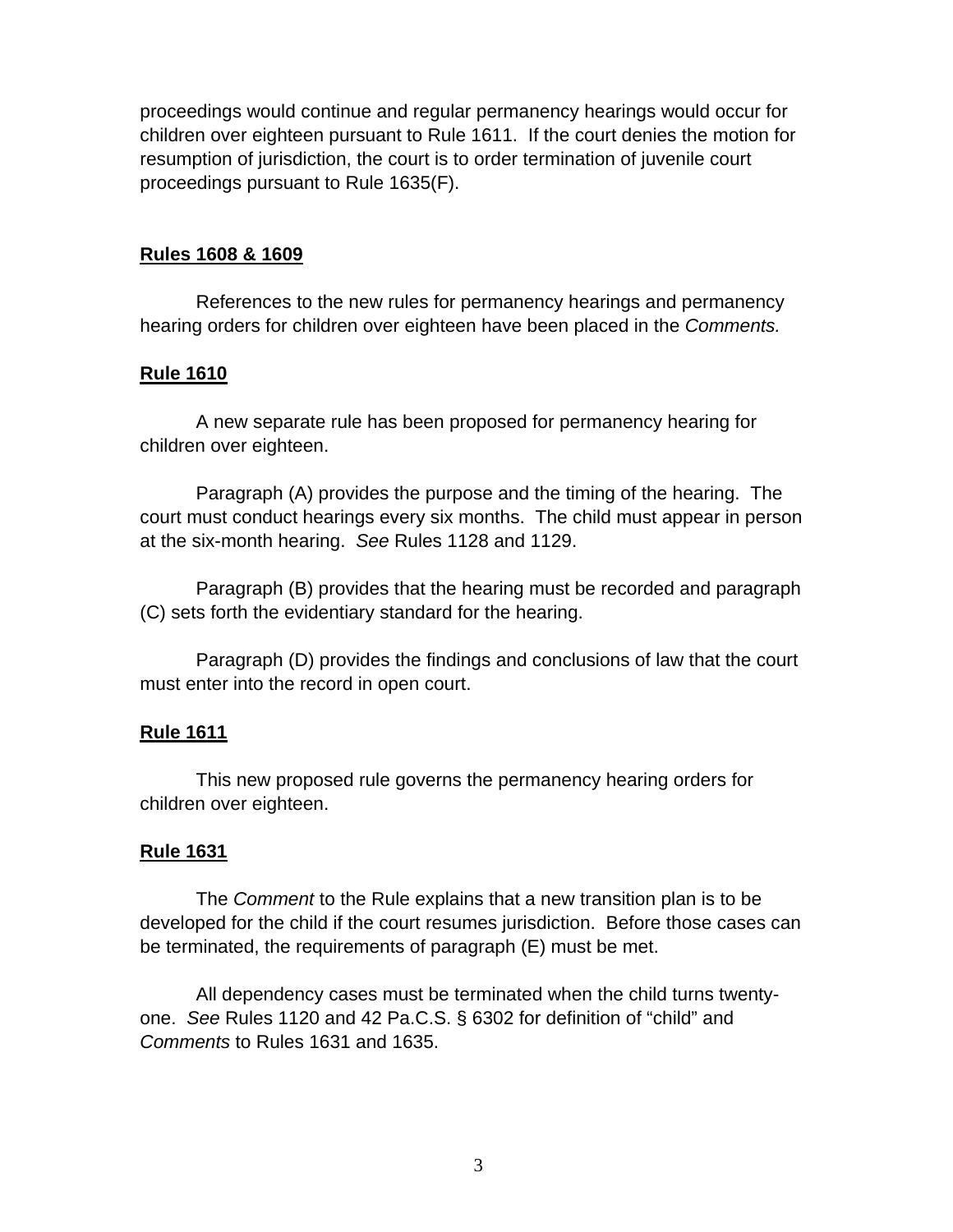proceedings would continue and regular permanency hearings would occur for children over eighteen pursuant to Rule 1611. If the court denies the motion for resumption of jurisdiction, the court is to order termination of juvenile court proceedings pursuant to Rule 1635(F).

# **Rules 1608 & 1609**

References to the new rules for permanency hearings and permanency hearing orders for children over eighteen have been placed in the *Comments.* 

# **Rule 1610**

A new separate rule has been proposed for permanency hearing for children over eighteen.

Paragraph (A) provides the purpose and the timing of the hearing. The court must conduct hearings every six months. The child must appear in person at the six-month hearing. *See* Rules 1128 and 1129.

Paragraph (B) provides that the hearing must be recorded and paragraph (C) sets forth the evidentiary standard for the hearing.

Paragraph (D) provides the findings and conclusions of law that the court must enter into the record in open court.

# **Rule 1611**

This new proposed rule governs the permanency hearing orders for children over eighteen.

# **Rule 1631**

The *Comment* to the Rule explains that a new transition plan is to be developed for the child if the court resumes jurisdiction. Before those cases can be terminated, the requirements of paragraph (E) must be met.

All dependency cases must be terminated when the child turns twentyone. *See* Rules 1120 and 42 Pa.C.S. § 6302 for definition of "child" and *Comments* to Rules 1631 and 1635.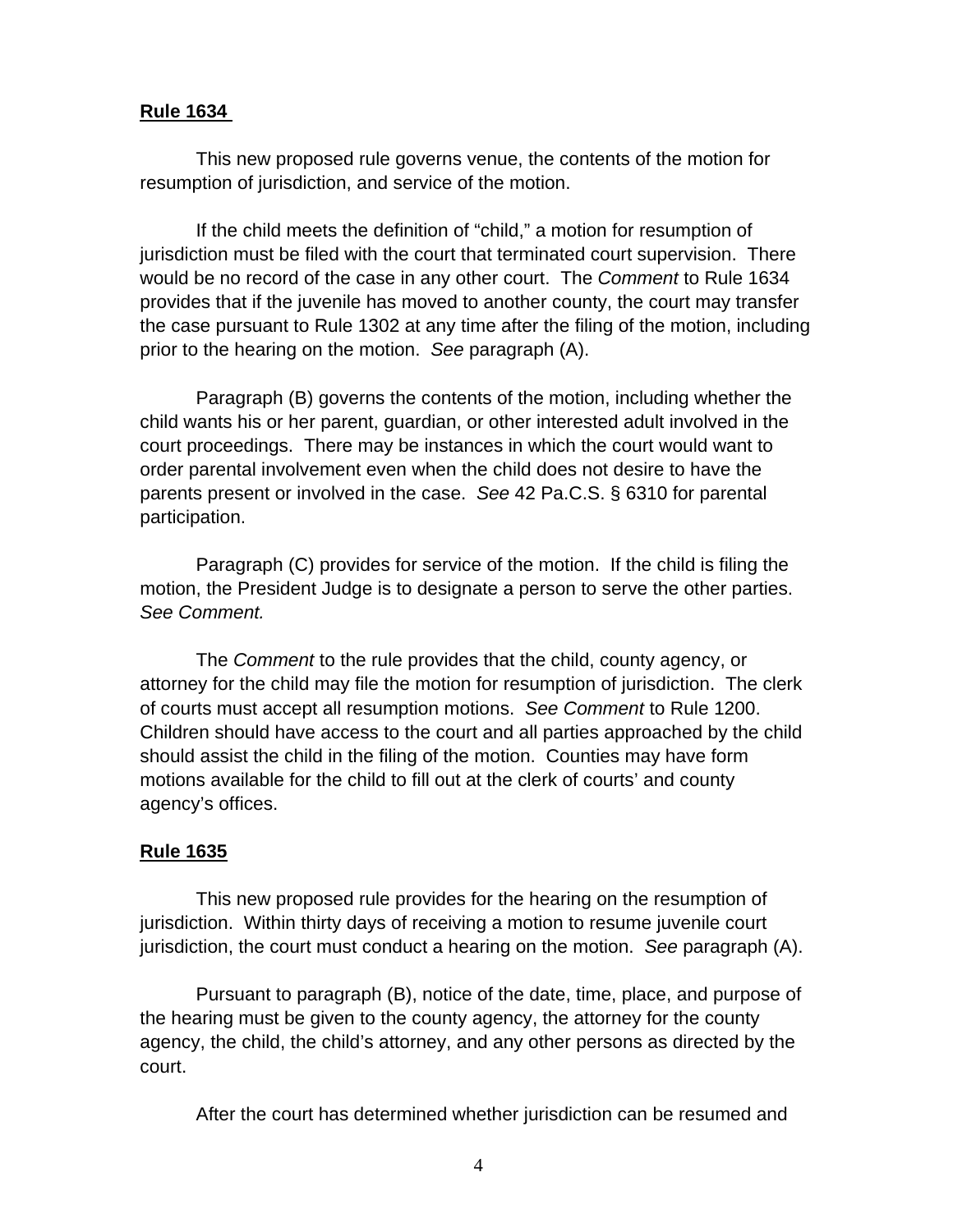### **Rule 1634**

 This new proposed rule governs venue, the contents of the motion for resumption of jurisdiction, and service of the motion.

 If the child meets the definition of "child," a motion for resumption of jurisdiction must be filed with the court that terminated court supervision. There would be no record of the case in any other court. The *Comment* to Rule 1634 provides that if the juvenile has moved to another county, the court may transfer the case pursuant to Rule 1302 at any time after the filing of the motion, including prior to the hearing on the motion. *See* paragraph (A).

 Paragraph (B) governs the contents of the motion, including whether the child wants his or her parent, guardian, or other interested adult involved in the court proceedings. There may be instances in which the court would want to order parental involvement even when the child does not desire to have the parents present or involved in the case. *See* 42 Pa.C.S. § 6310 for parental participation.

 Paragraph (C) provides for service of the motion. If the child is filing the motion, the President Judge is to designate a person to serve the other parties. *See Comment.* 

The *Comment* to the rule provides that the child, county agency, or attorney for the child may file the motion for resumption of jurisdiction. The clerk of courts must accept all resumption motions. *See Comment* to Rule 1200. Children should have access to the court and all parties approached by the child should assist the child in the filing of the motion. Counties may have form motions available for the child to fill out at the clerk of courts' and county agency's offices.

# **Rule 1635**

This new proposed rule provides for the hearing on the resumption of jurisdiction. Within thirty days of receiving a motion to resume juvenile court jurisdiction, the court must conduct a hearing on the motion. *See* paragraph (A).

Pursuant to paragraph (B), notice of the date, time, place, and purpose of the hearing must be given to the county agency, the attorney for the county agency, the child, the child's attorney, and any other persons as directed by the court.

After the court has determined whether jurisdiction can be resumed and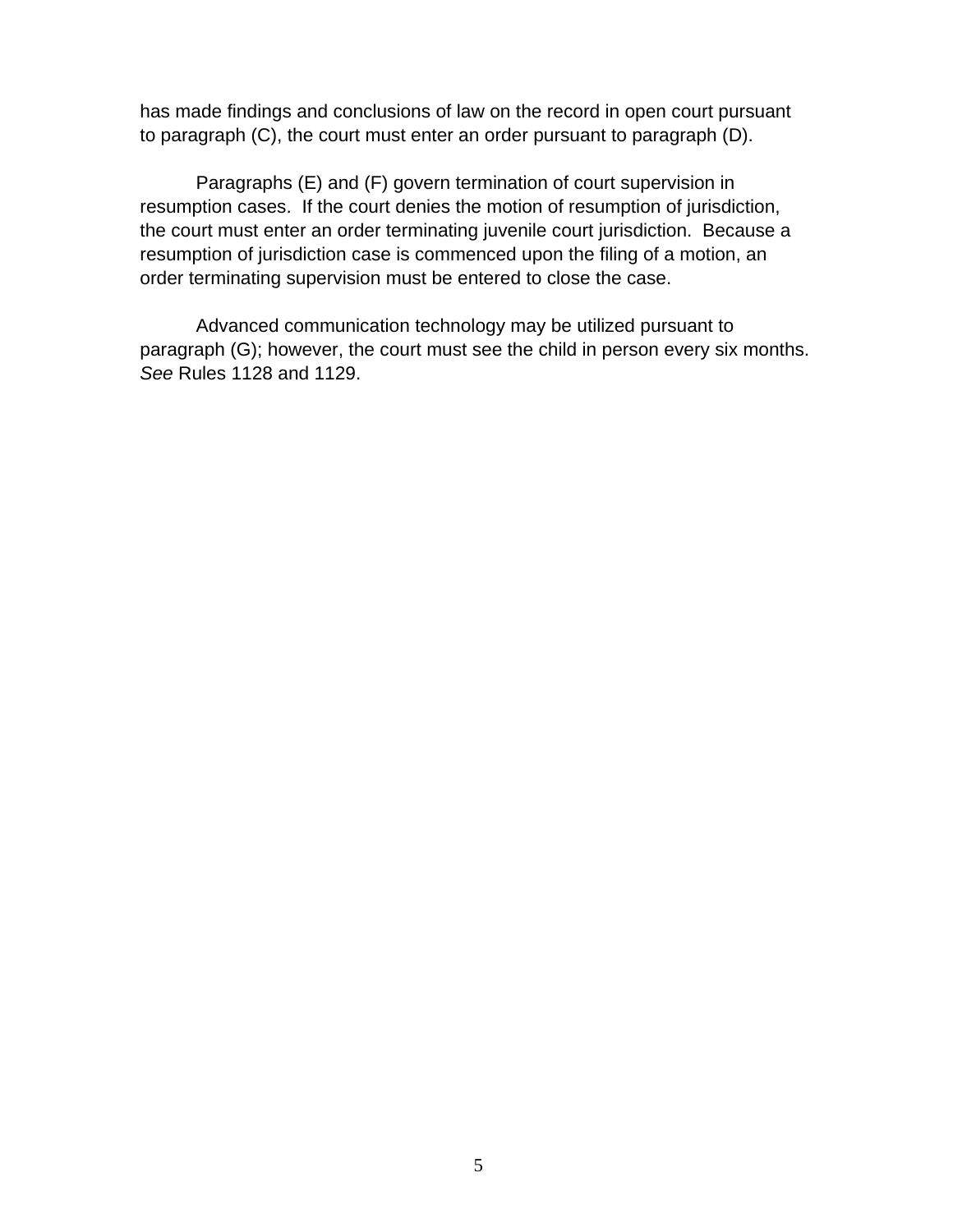has made findings and conclusions of law on the record in open court pursuant to paragraph (C), the court must enter an order pursuant to paragraph (D).

Paragraphs (E) and (F) govern termination of court supervision in resumption cases. If the court denies the motion of resumption of jurisdiction, the court must enter an order terminating juvenile court jurisdiction. Because a resumption of jurisdiction case is commenced upon the filing of a motion, an order terminating supervision must be entered to close the case.

Advanced communication technology may be utilized pursuant to paragraph (G); however, the court must see the child in person every six months. *See* Rules 1128 and 1129.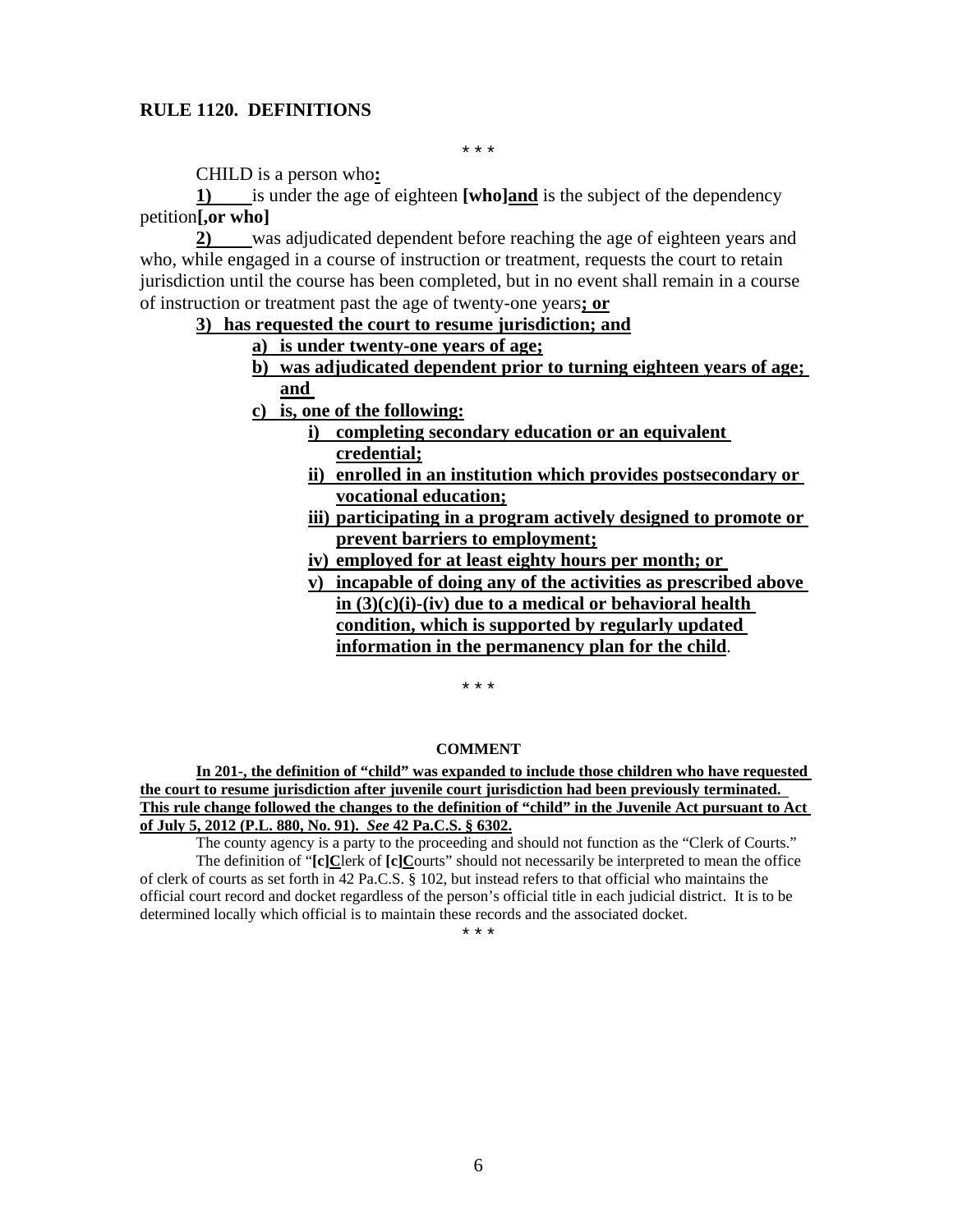#### **RULE 1120. DEFINITIONS**

\* \* \*

CHILD is a person who**:** 

**1)** is under the age of eighteen **[who]and** is the subject of the dependency petition**[,or who]**

**2)** was adjudicated dependent before reaching the age of eighteen years and who, while engaged in a course of instruction or treatment, requests the court to retain jurisdiction until the course has been completed, but in no event shall remain in a course of instruction or treatment past the age of twenty-one years**; or** 

### **3) has requested the court to resume jurisdiction; and**

- **a) is under twenty-one years of age;**
- **b) was adjudicated dependent prior to turning eighteen years of age; and**
- **c) is, one of the following:** 
	- **i) completing secondary education or an equivalent credential;**
	- **ii) enrolled in an institution which provides postsecondary or vocational education;**
	- **iii) participating in a program actively designed to promote or prevent barriers to employment;**
	- **iv) employed for at least eighty hours per month; or**
	- **v) incapable of doing any of the activities as prescribed above in (3)(c)(i)-(iv) due to a medical or behavioral health condition, which is supported by regularly updated information in the permanency plan for the child**.

\* \* \*

#### **COMMENT**

**In 201-, the definition of "child" was expanded to include those children who have requested the court to resume jurisdiction after juvenile court jurisdiction had been previously terminated. This rule change followed the changes to the definition of "child" in the Juvenile Act pursuant to Act of July 5, 2012 (P.L. 880, No. 91).** *See* **42 Pa.C.S. § 6302.** 

The county agency is a party to the proceeding and should not function as the "Clerk of Courts." The definition of "**[c]C**lerk of **[c]C**ourts" should not necessarily be interpreted to mean the office of clerk of courts as set forth in 42 Pa.C.S. § 102, but instead refers to that official who maintains the official court record and docket regardless of the person's official title in each judicial district. It is to be determined locally which official is to maintain these records and the associated docket.

\* \* \*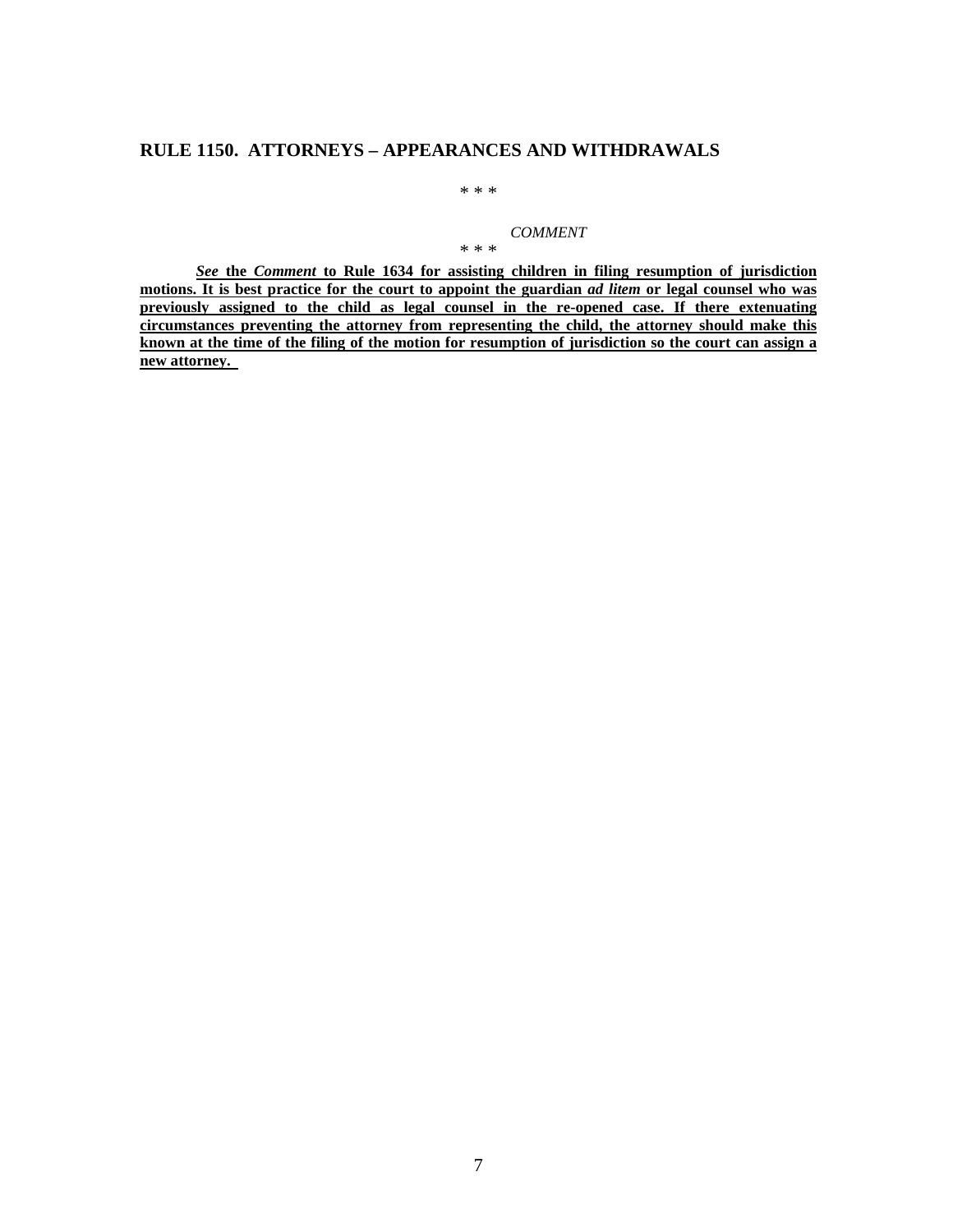### **RULE 1150. ATTORNEYS – APPEARANCES AND WITHDRAWALS**

\* \* \*

*COMMENT* 

\* \* \*

*See* **the** *Comment* **to Rule 1634 for assisting children in filing resumption of jurisdiction motions. It is best practice for the court to appoint the guardian** *ad litem* **or legal counsel who was previously assigned to the child as legal counsel in the re-opened case. If there extenuating circumstances preventing the attorney from representing the child, the attorney should make this known at the time of the filing of the motion for resumption of jurisdiction so the court can assign a new attorney.**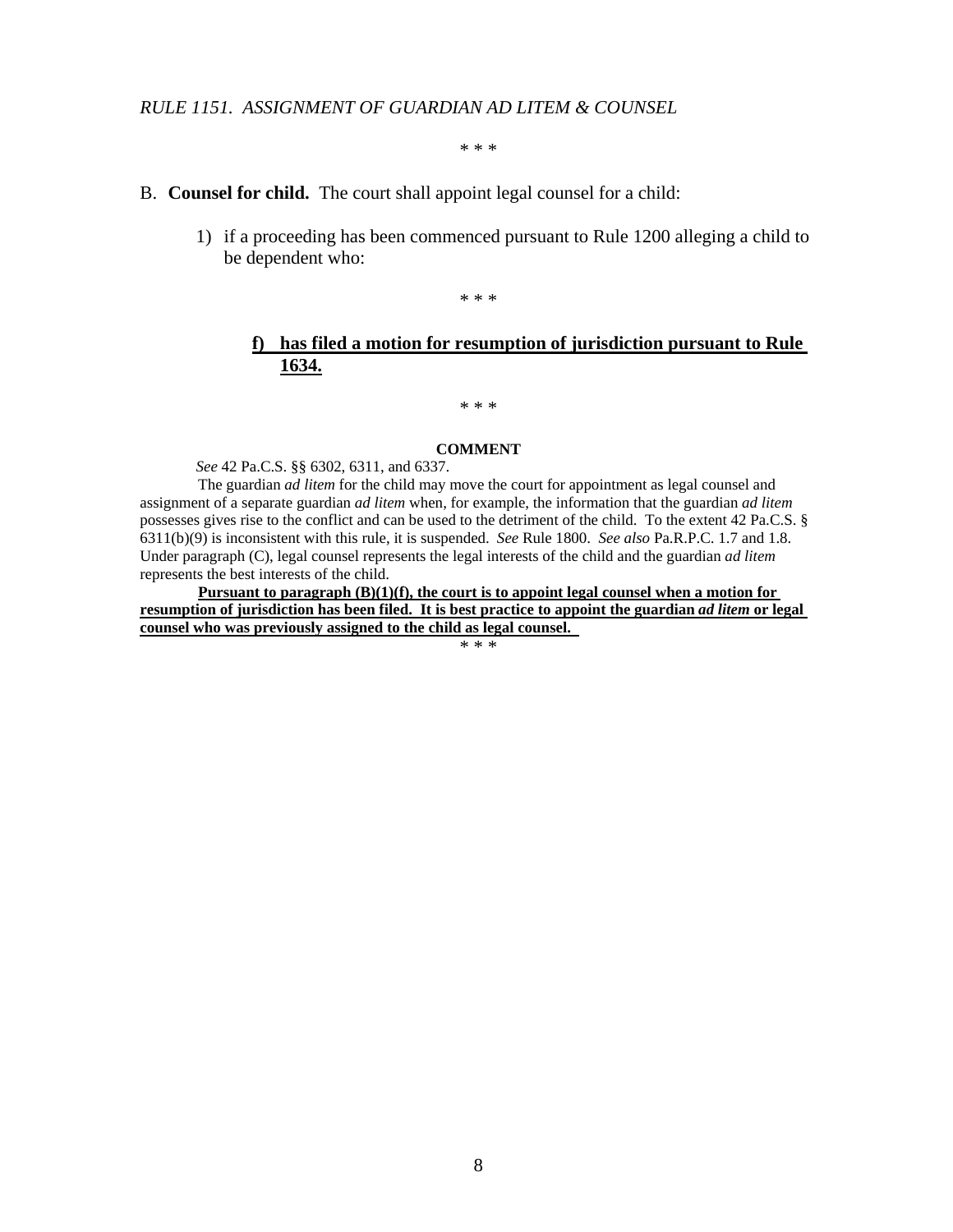\* \* \*

#### B. **Counsel for child.** The court shall appoint legal counsel for a child:

1) if a proceeding has been commenced pursuant to Rule 1200 alleging a child to be dependent who:

\* \* \*

### **f) has filed a motion for resumption of jurisdiction pursuant to Rule 1634.**

\* \* \*

#### **COMMENT**

*See* 42 Pa.C.S. §§ 6302, 6311, and 6337.

The guardian *ad litem* for the child may move the court for appointment as legal counsel and assignment of a separate guardian *ad litem* when, for example, the information that the guardian *ad litem* possesses gives rise to the conflict and can be used to the detriment of the child. To the extent 42 Pa.C.S. § 6311(b)(9) is inconsistent with this rule, it is suspended. *See* Rule 1800. *See also* Pa.R.P.C. 1.7 and 1.8. Under paragraph (C), legal counsel represents the legal interests of the child and the guardian *ad litem* represents the best interests of the child.

**Pursuant to paragraph (B)(1)(f), the court is to appoint legal counsel when a motion for resumption of jurisdiction has been filed. It is best practice to appoint the guardian** *ad litem* **or legal counsel who was previously assigned to the child as legal counsel.** 

\* \* \*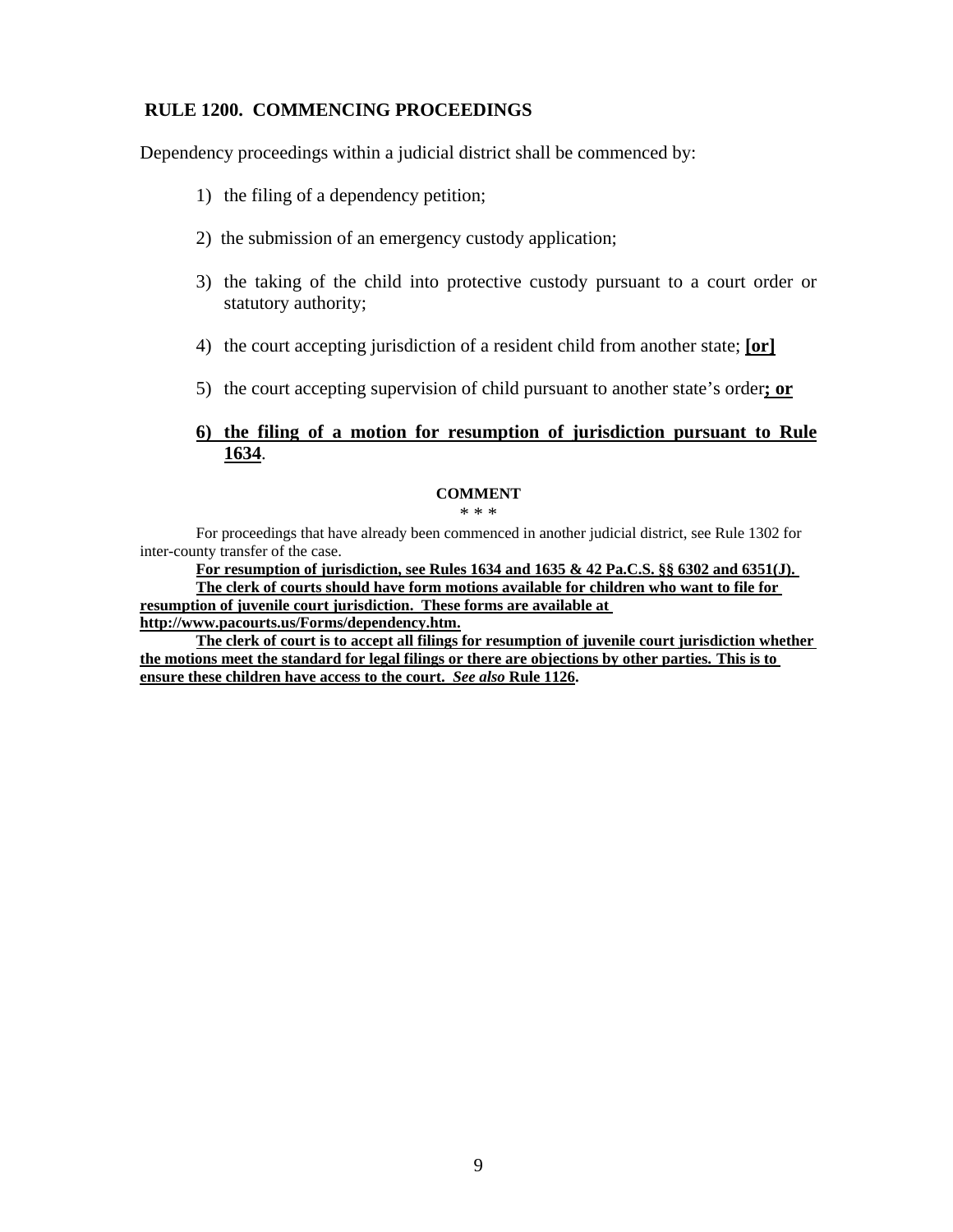### **RULE 1200. COMMENCING PROCEEDINGS**

Dependency proceedings within a judicial district shall be commenced by:

- 1) the filing of a dependency petition;
- 2) the submission of an emergency custody application;
- 3) the taking of the child into protective custody pursuant to a court order or statutory authority;
- 4) the court accepting jurisdiction of a resident child from another state; **[or]**
- 5) the court accepting supervision of child pursuant to another state's order**; or**

### **6) the filing of a motion for resumption of jurisdiction pursuant to Rule 1634**.

#### **COMMENT**

\* \* \*

For proceedings that have already been commenced in another judicial district, see Rule 1302 for inter-county transfer of the case.

**For resumption of jurisdiction, see Rules 1634 and 1635 & 42 Pa.C.S. §§ 6302 and 6351(J). The clerk of courts should have form motions available for children who want to file for resumption of juvenile court jurisdiction. These forms are available at** 

**http://www.pacourts.us/Forms/dependency.htm.** 

**The clerk of court is to accept all filings for resumption of juvenile court jurisdiction whether the motions meet the standard for legal filings or there are objections by other parties. This is to ensure these children have access to the court.** *See also* **Rule 1126.**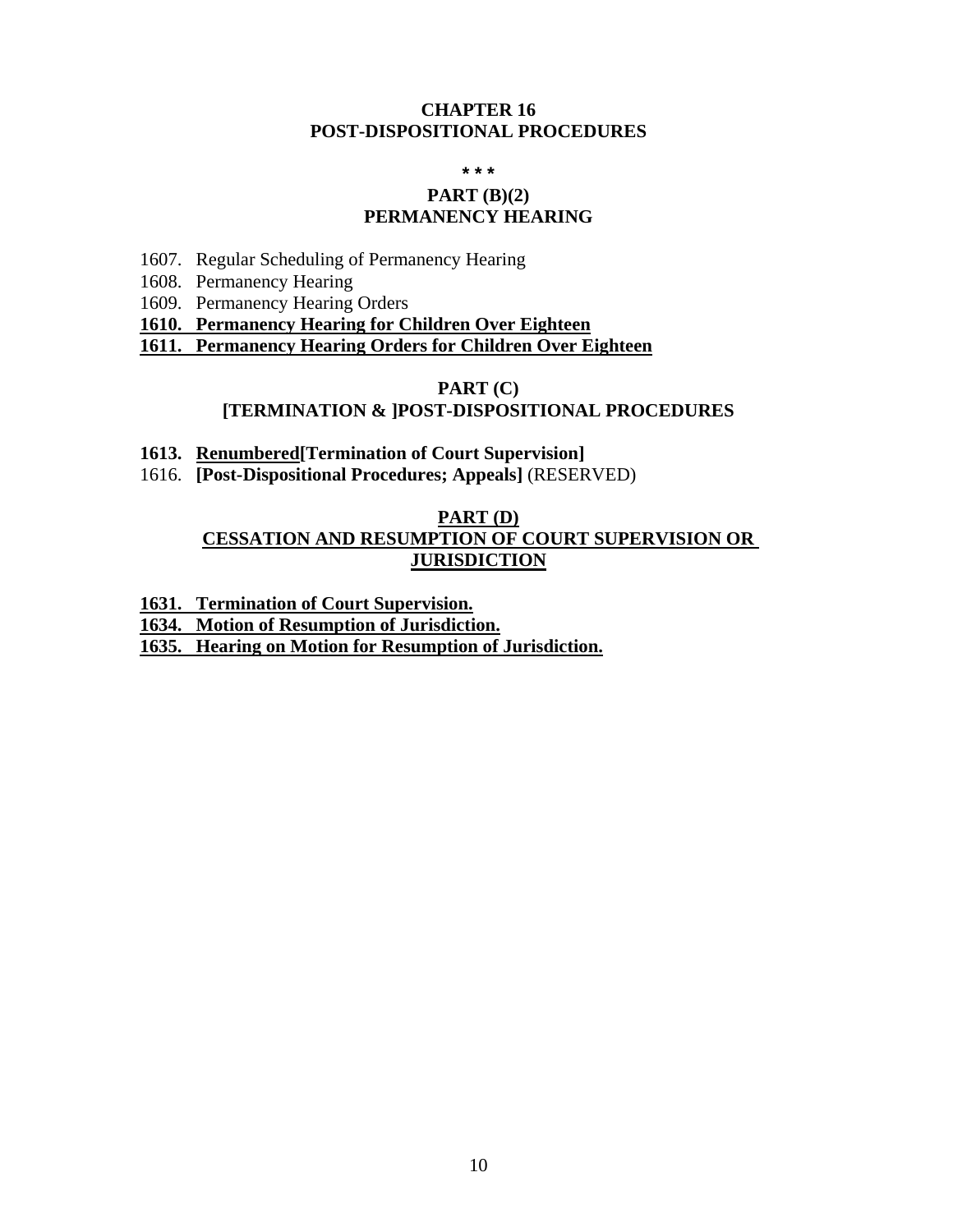### **CHAPTER 16 POST-DISPOSITIONAL PROCEDURES**

**\* \* \*** 

### **PART (B)(2) PERMANENCY HEARING**

- 1607. Regular Scheduling of Permanency Hearing
- 1608. Permanency Hearing
- 1609. Permanency Hearing Orders

**1610. Permanency Hearing for Children Over Eighteen** 

**1611. Permanency Hearing Orders for Children Over Eighteen** 

#### **PART (C) [TERMINATION & ]POST-DISPOSITIONAL PROCEDURES**

- **1613. Renumbered[Termination of Court Supervision]**
- 1616. **[Post-Dispositional Procedures; Appeals]** (RESERVED)

# **PART (D)**

## **CESSATION AND RESUMPTION OF COURT SUPERVISION OR JURISDICTION**

**1631. Termination of Court Supervision.** 

**1634. Motion of Resumption of Jurisdiction.** 

**1635. Hearing on Motion for Resumption of Jurisdiction.**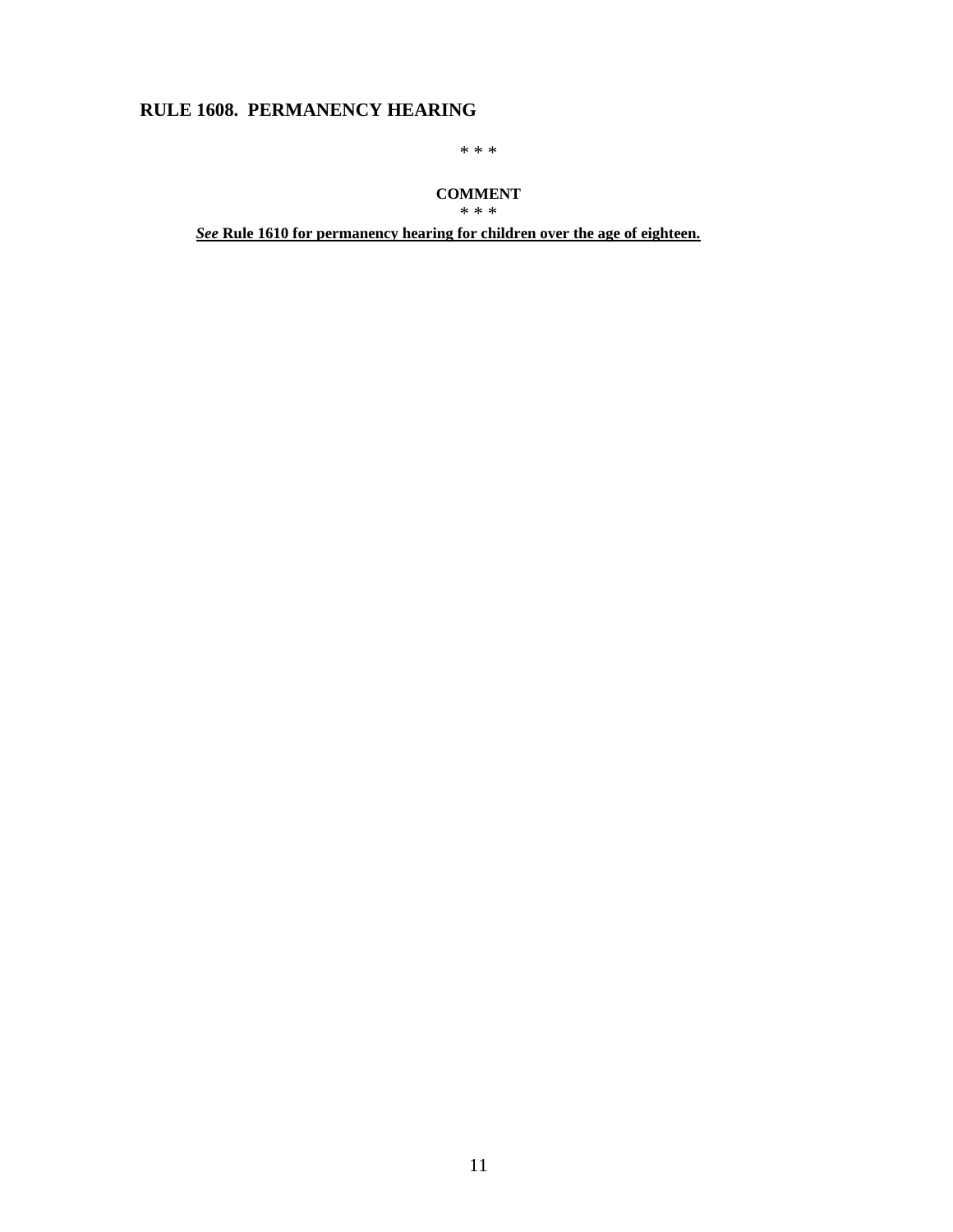# **RULE 1608. PERMANENCY HEARING**

\* \* \*

#### **COMMENT**

\* \* \*

*See* **Rule 1610 for permanency hearing for children over the age of eighteen.**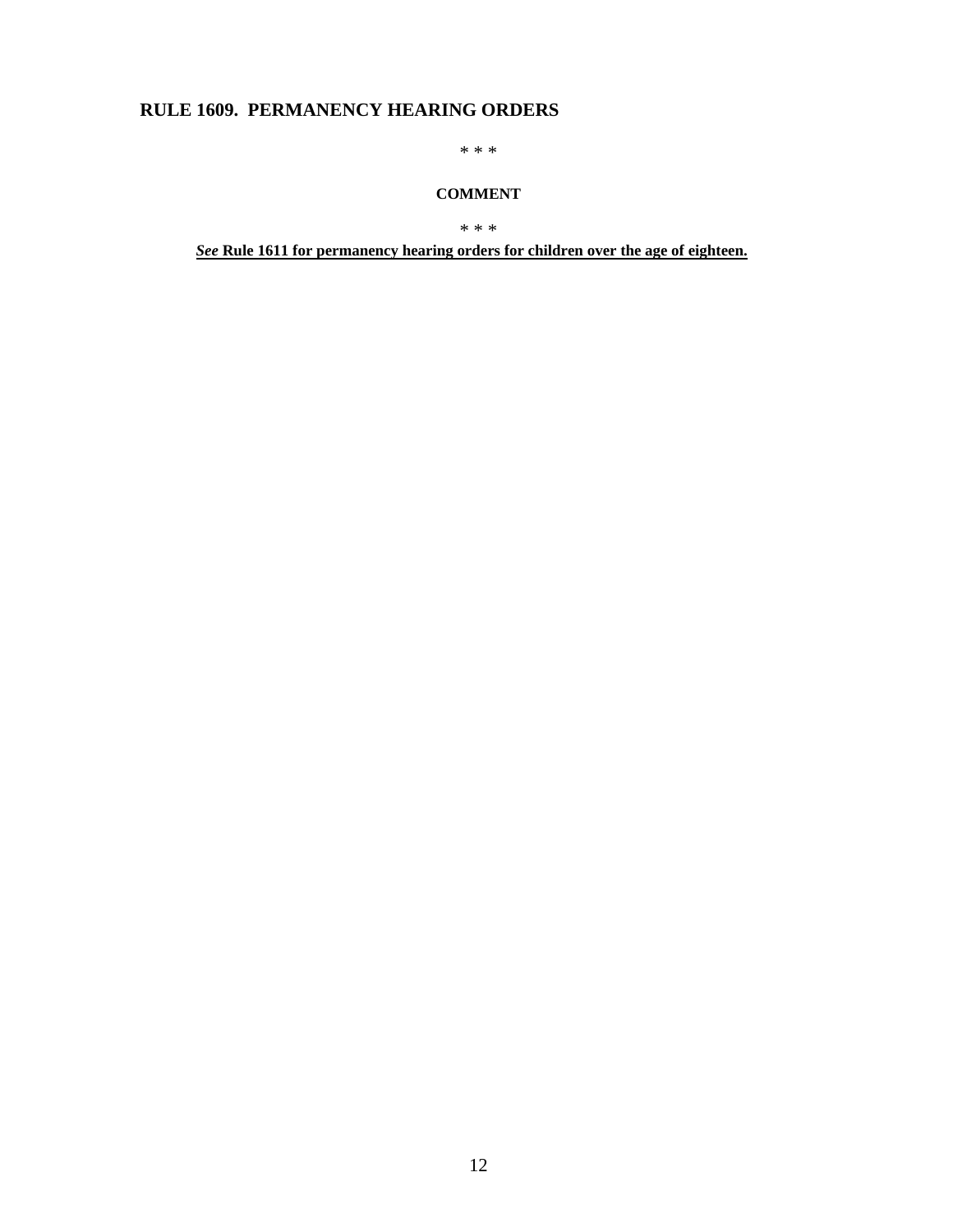# **RULE 1609. PERMANENCY HEARING ORDERS**

\* \* \*

#### **COMMENT**

\* \* \*

*See* **Rule 1611 for permanency hearing orders for children over the age of eighteen.**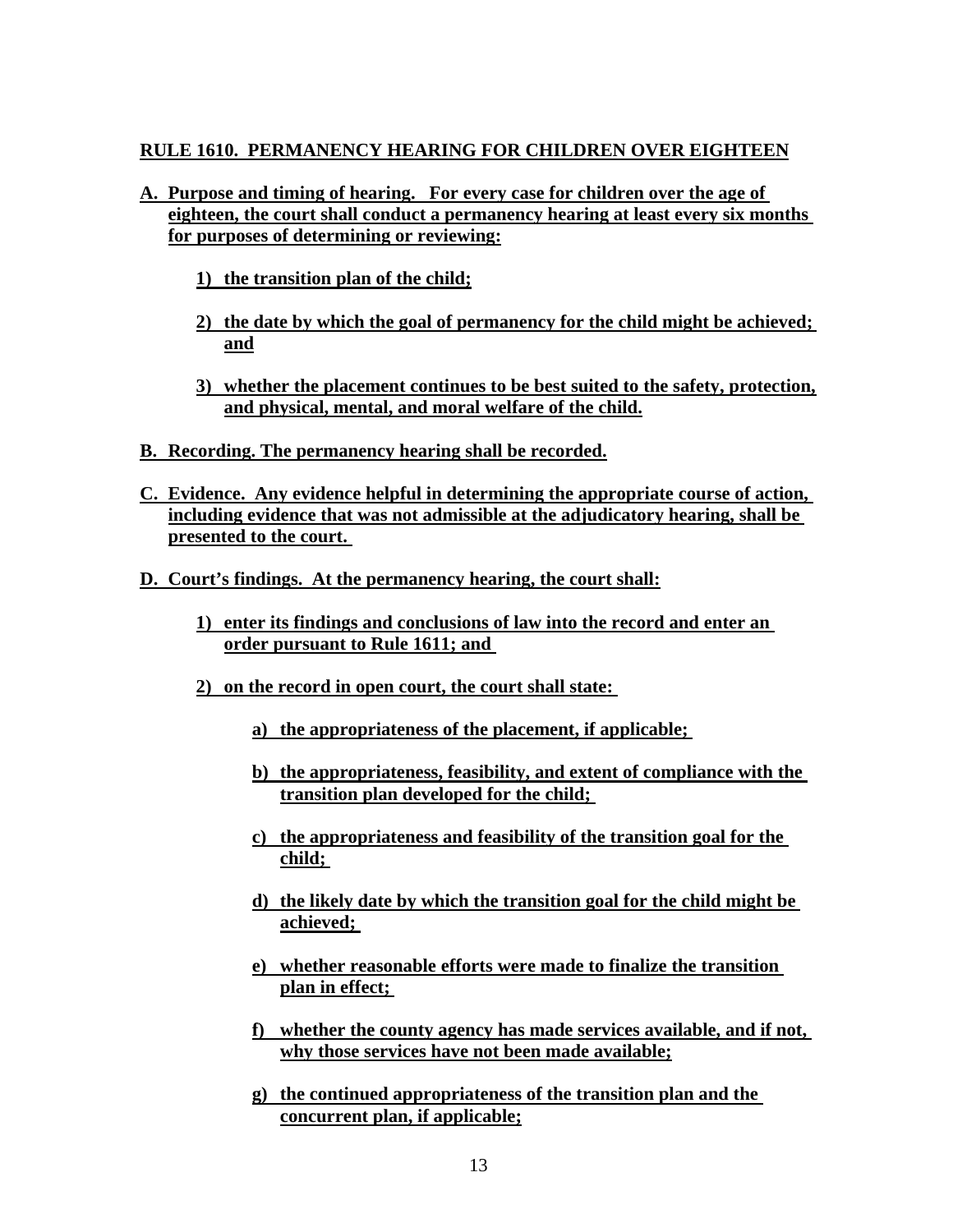# **RULE 1610. PERMANENCY HEARING FOR CHILDREN OVER EIGHTEEN**

# **A. Purpose and timing of hearing. For every case for children over the age of eighteen, the court shall conduct a permanency hearing at least every six months for purposes of determining or reviewing:**

- **1) the transition plan of the child;**
- **2) the date by which the goal of permanency for the child might be achieved; and**
- **3) whether the placement continues to be best suited to the safety, protection, and physical, mental, and moral welfare of the child.**
- **B. Recording. The permanency hearing shall be recorded.**
- **C. Evidence. Any evidence helpful in determining the appropriate course of action, including evidence that was not admissible at the adjudicatory hearing, shall be presented to the court.**
- **D. Court's findings. At the permanency hearing, the court shall:** 
	- **1) enter its findings and conclusions of law into the record and enter an order pursuant to Rule 1611; and**
	- **2) on the record in open court, the court shall state:** 
		- **a) the appropriateness of the placement, if applicable;**
		- **b) the appropriateness, feasibility, and extent of compliance with the transition plan developed for the child;**
		- **c) the appropriateness and feasibility of the transition goal for the child;**
		- **d) the likely date by which the transition goal for the child might be achieved;**
		- **e) whether reasonable efforts were made to finalize the transition plan in effect;**
		- **f) whether the county agency has made services available, and if not, why those services have not been made available;**
		- **g) the continued appropriateness of the transition plan and the concurrent plan, if applicable;**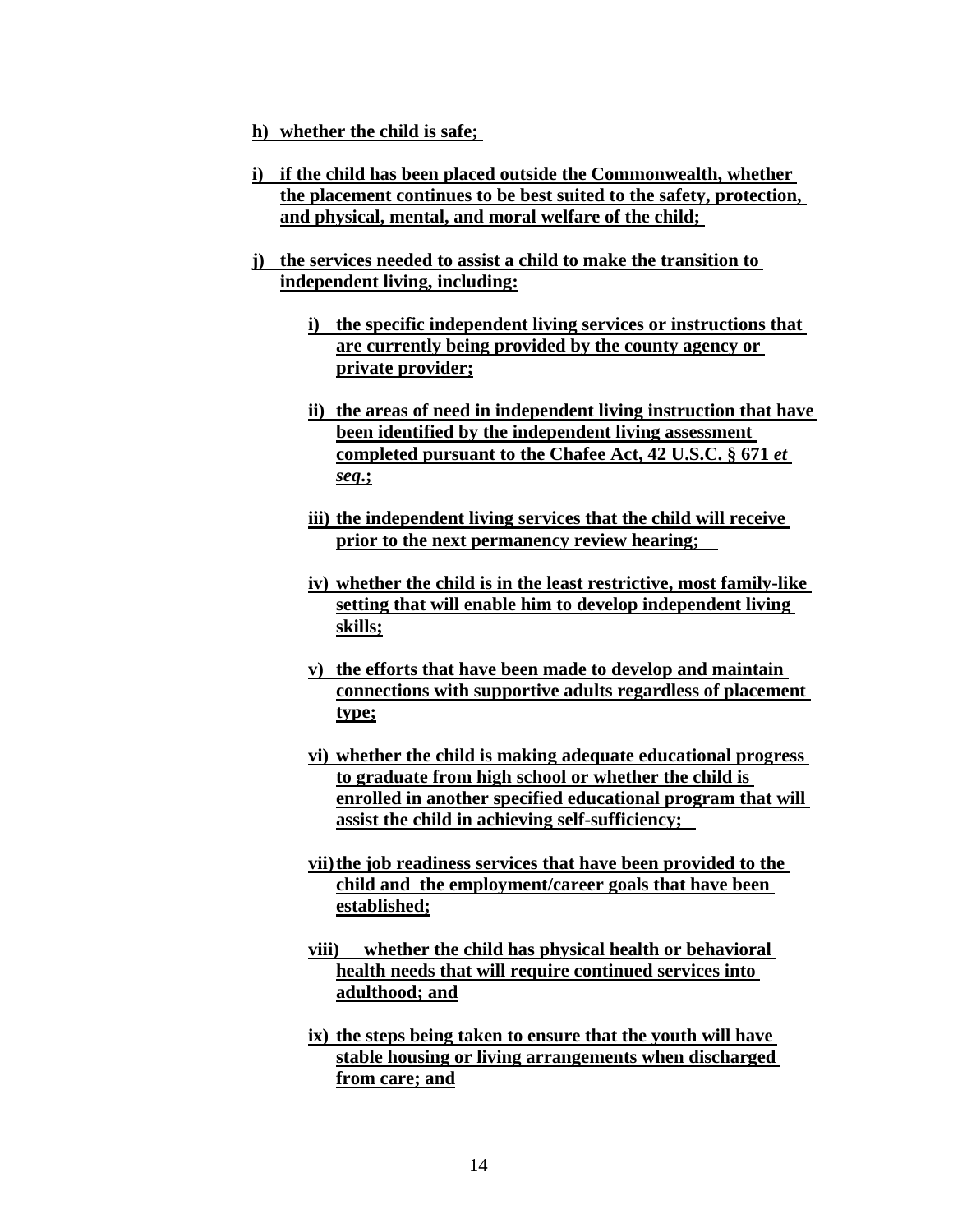**h) whether the child is safe;** 

- **i) if the child has been placed outside the Commonwealth, whether the placement continues to be best suited to the safety, protection, and physical, mental, and moral welfare of the child;**
- **j) the services needed to assist a child to make the transition to independent living, including:** 
	- **i) the specific independent living services or instructions that are currently being provided by the county agency or private provider;**
	- **ii) the areas of need in independent living instruction that have been identified by the independent living assessment completed pursuant to the Chafee Act, 42 U.S.C. § 671** *et seq***.;**
	- **iii) the independent living services that the child will receive prior to the next permanency review hearing;**
	- **iv) whether the child is in the least restrictive, most family-like setting that will enable him to develop independent living skills;**
	- **v) the efforts that have been made to develop and maintain connections with supportive adults regardless of placement type;**
	- **vi) whether the child is making adequate educational progress to graduate from high school or whether the child is enrolled in another specified educational program that will assist the child in achieving self-sufficiency;**
	- **vii) the job readiness services that have been provided to the child and the employment/career goals that have been established;**
	- **viii) whether the child has physical health or behavioral health needs that will require continued services into adulthood; and**
	- **ix) the steps being taken to ensure that the youth will have stable housing or living arrangements when discharged from care; and**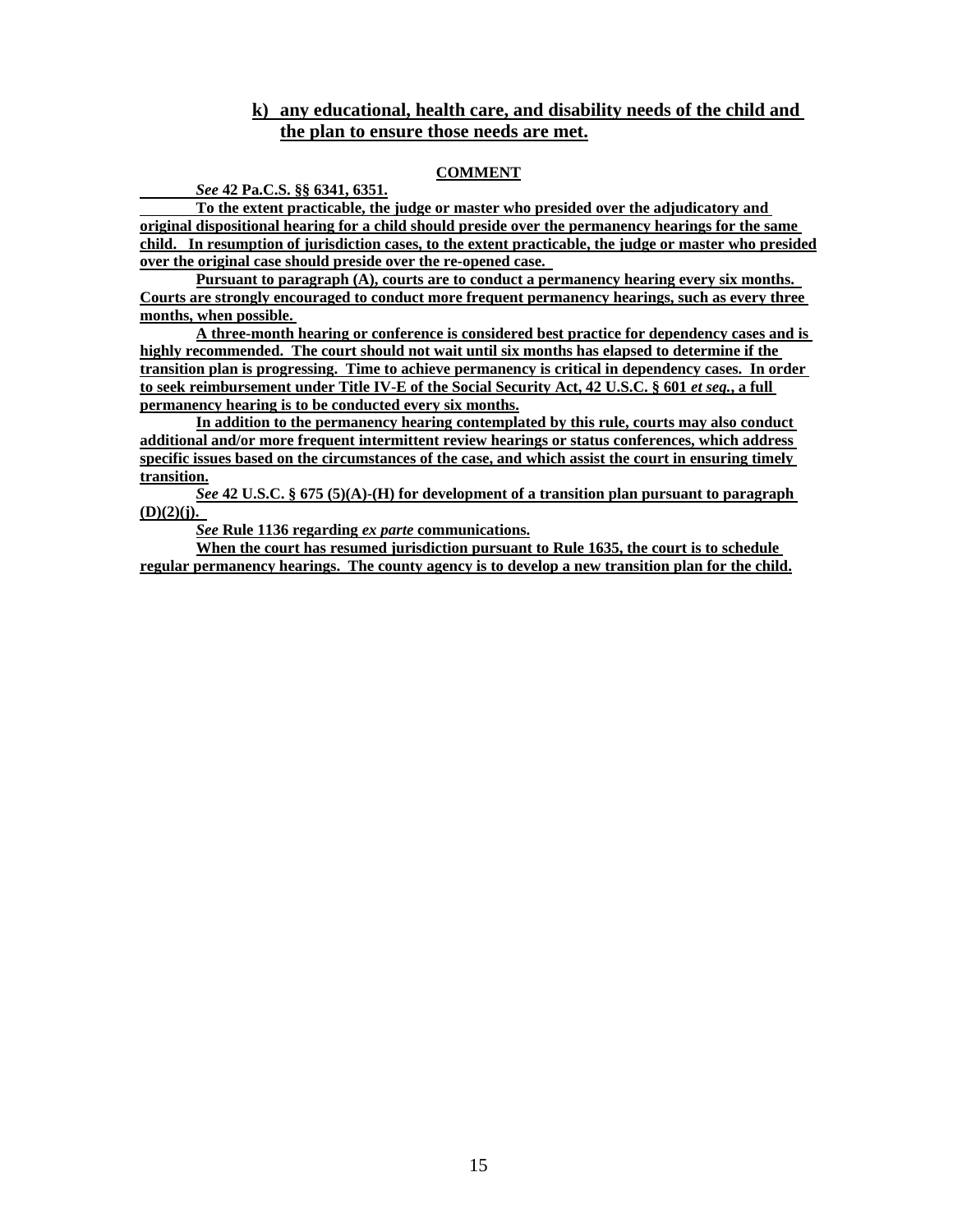### **k) any educational, health care, and disability needs of the child and the plan to ensure those needs are met.**

#### **COMMENT**

*See* **42 Pa.C.S. §§ 6341, 6351.** 

 **To the extent practicable, the judge or master who presided over the adjudicatory and original dispositional hearing for a child should preside over the permanency hearings for the same child. In resumption of jurisdiction cases, to the extent practicable, the judge or master who presided over the original case should preside over the re-opened case.** 

**Pursuant to paragraph (A), courts are to conduct a permanency hearing every six months. Courts are strongly encouraged to conduct more frequent permanency hearings, such as every three months, when possible.** 

**A three-month hearing or conference is considered best practice for dependency cases and is highly recommended. The court should not wait until six months has elapsed to determine if the transition plan is progressing. Time to achieve permanency is critical in dependency cases. In order to seek reimbursement under Title IV-E of the Social Security Act, 42 U.S.C. § 601** *et seq.***, a full permanency hearing is to be conducted every six months.** 

**In addition to the permanency hearing contemplated by this rule, courts may also conduct additional and/or more frequent intermittent review hearings or status conferences, which address specific issues based on the circumstances of the case, and which assist the court in ensuring timely transition.** 

*See* **42 U.S.C. § 675 (5)(A)-(H) for development of a transition plan pursuant to paragraph (D)(2)(j).** 

*See* **Rule 1136 regarding** *ex parte* **communications.** 

**When the court has resumed jurisdiction pursuant to Rule 1635, the court is to schedule regular permanency hearings. The county agency is to develop a new transition plan for the child.**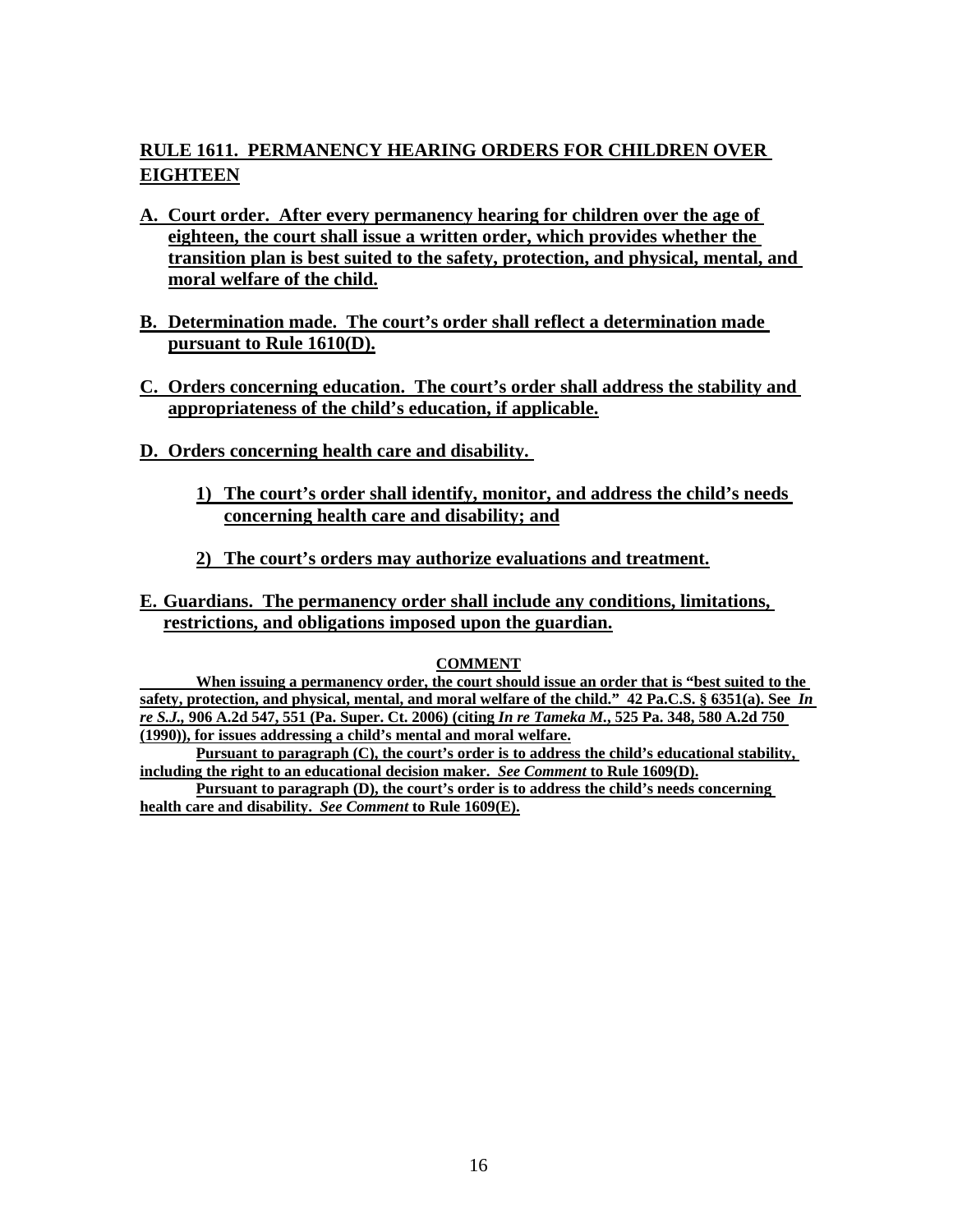# **RULE 1611. PERMANENCY HEARING ORDERS FOR CHILDREN OVER EIGHTEEN**

- **A. Court order. After every permanency hearing for children over the age of eighteen, the court shall issue a written order, which provides whether the transition plan is best suited to the safety, protection, and physical, mental, and moral welfare of the child.**
- **B. Determination made. The court's order shall reflect a determination made pursuant to Rule 1610(D).**
- **C. Orders concerning education. The court's order shall address the stability and appropriateness of the child's education, if applicable.**
- **D. Orders concerning health care and disability.** 
	- **1) The court's order shall identify, monitor, and address the child's needs concerning health care and disability; and**
	- **2) The court's orders may authorize evaluations and treatment.**
- **E. Guardians. The permanency order shall include any conditions, limitations, restrictions, and obligations imposed upon the guardian.**

#### **COMMENT**

 **When issuing a permanency order, the court should issue an order that is "best suited to the safety, protection, and physical, mental, and moral welfare of the child." 42 Pa.C.S. § 6351(a). See** *In re S.J.,* **906 A.2d 547, 551 (Pa. Super. Ct. 2006) (citing** *In re Tameka M.***, 525 Pa. 348, 580 A.2d 750 (1990)), for issues addressing a child's mental and moral welfare.** 

**Pursuant to paragraph (C), the court's order is to address the child's educational stability, including the right to an educational decision maker.** *See Comment* **to Rule 1609(D).** 

**Pursuant to paragraph (D), the court's order is to address the child's needs concerning health care and disability.** *See Comment* **to Rule 1609(E).**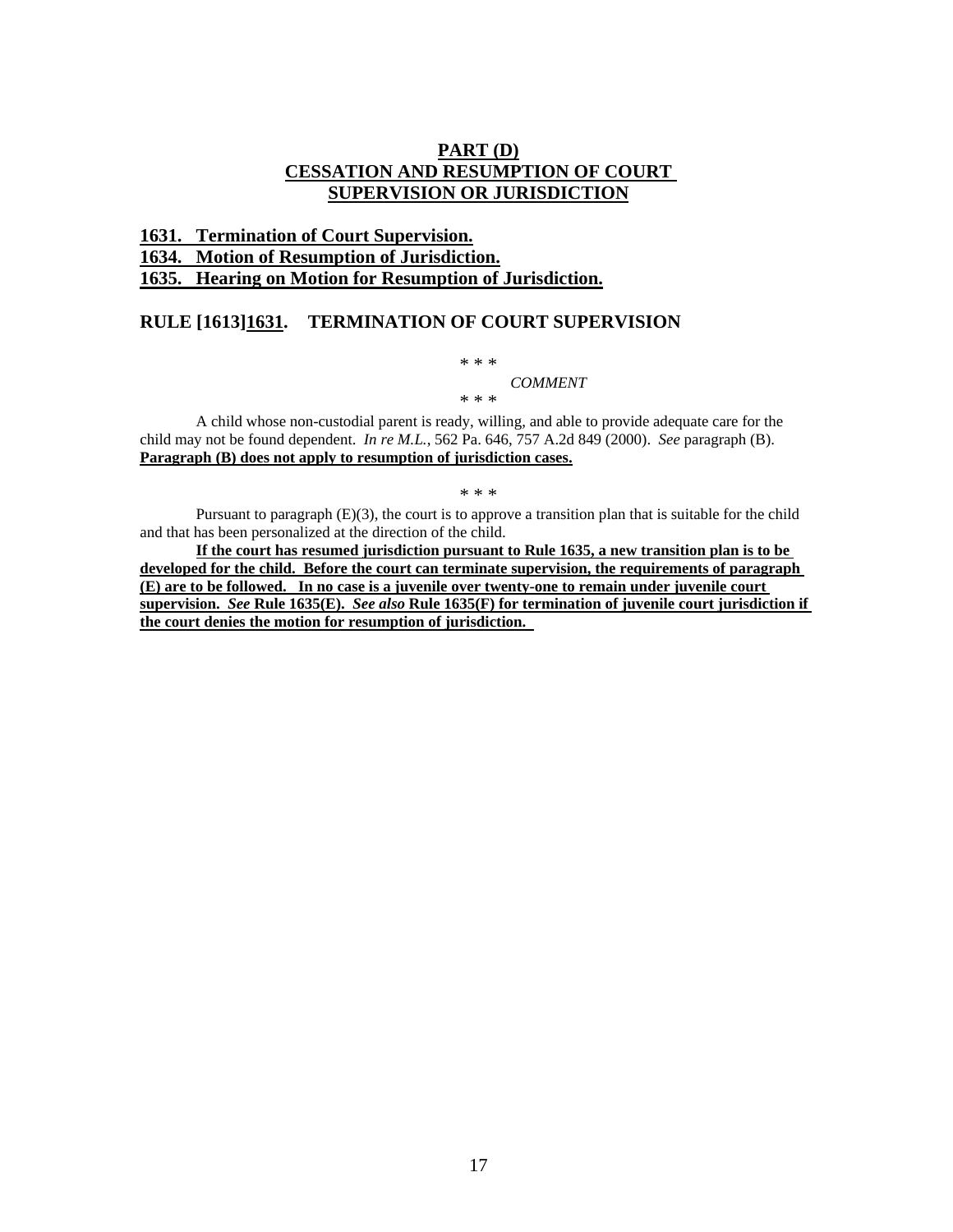### **PART (D) CESSATION AND RESUMPTION OF COURT SUPERVISION OR JURISDICTION**

#### **1631. Termination of Court Supervision.**

#### **1634. Motion of Resumption of Jurisdiction.**

**1635. Hearing on Motion for Resumption of Jurisdiction.** 

#### **RULE [1613]1631. TERMINATION OF COURT SUPERVISION**

\* \* \* *COMMENT* 

\* \* \*

A child whose non-custodial parent is ready, willing, and able to provide adequate care for the child may not be found dependent. *In re M.L.*, 562 Pa. 646, 757 A.2d 849 (2000). *See* paragraph (B). **Paragraph (B) does not apply to resumption of jurisdiction cases.** 

\* \* \*

Pursuant to paragraph (E)(3), the court is to approve a transition plan that is suitable for the child and that has been personalized at the direction of the child.

**If the court has resumed jurisdiction pursuant to Rule 1635, a new transition plan is to be developed for the child. Before the court can terminate supervision, the requirements of paragraph (E) are to be followed. In no case is a juvenile over twenty-one to remain under juvenile court supervision.** *See* **Rule 1635(E).** *See also* **Rule 1635(F) for termination of juvenile court jurisdiction if the court denies the motion for resumption of jurisdiction.**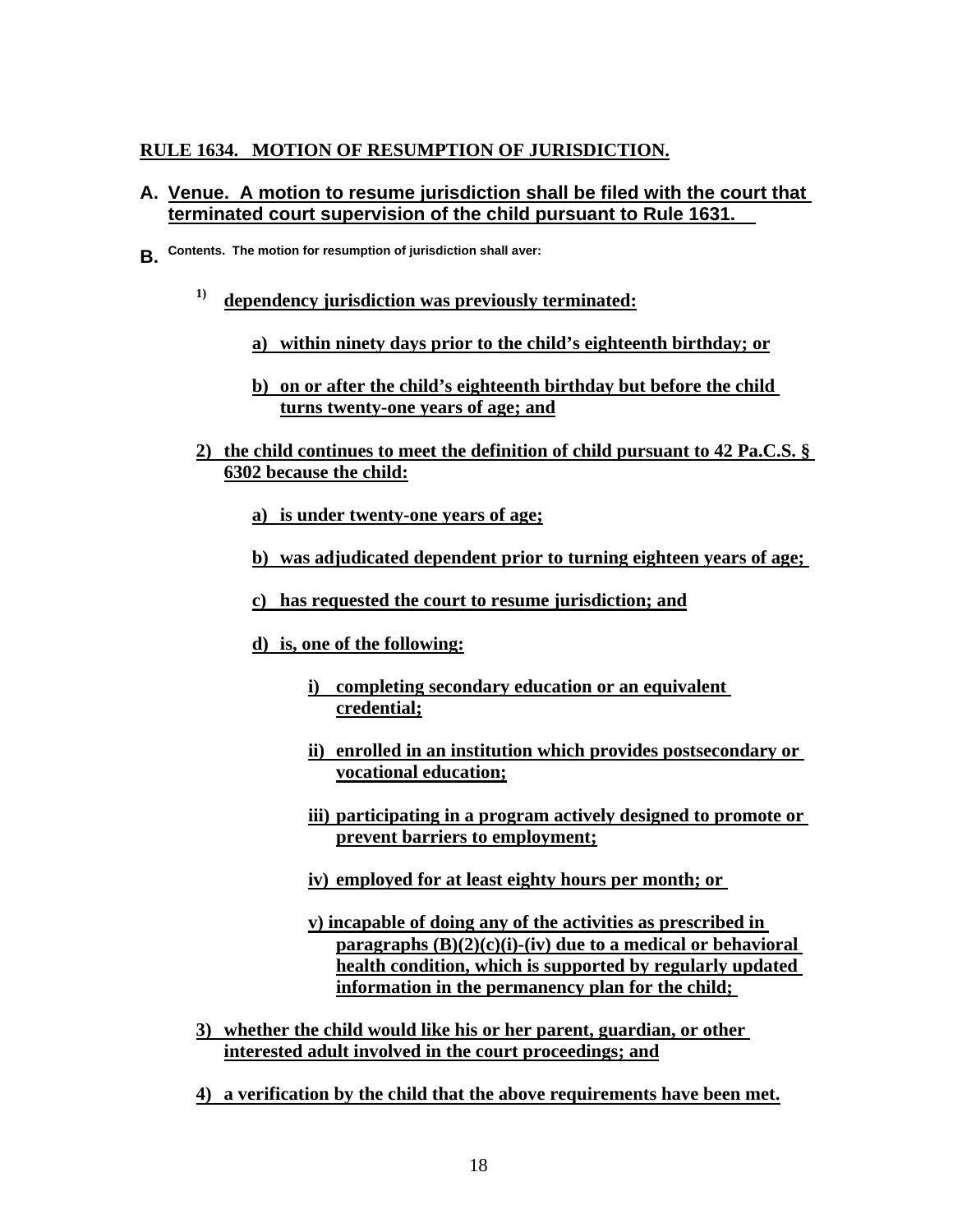# **RULE 1634. MOTION OF RESUMPTION OF JURISDICTION.**

### **A. Venue. A motion to resume jurisdiction shall be filed with the court that terminated court supervision of the child pursuant to Rule 1631.**

- **B. Contents. The motion for resumption of jurisdiction shall aver:**
	- **1) dependency jurisdiction was previously terminated:** 
		- **a) within ninety days prior to the child's eighteenth birthday; or**
		- **b) on or after the child's eighteenth birthday but before the child turns twenty-one years of age; and**
	- **2) the child continues to meet the definition of child pursuant to 42 Pa.C.S. § 6302 because the child:** 
		- **a) is under twenty-one years of age;**
		- **b) was adjudicated dependent prior to turning eighteen years of age;**
		- **c) has requested the court to resume jurisdiction; and**
		- **d) is, one of the following:** 
			- **i) completing secondary education or an equivalent credential;**
			- **ii) enrolled in an institution which provides postsecondary or vocational education;**
			- **iii) participating in a program actively designed to promote or prevent barriers to employment;**
			- **iv) employed for at least eighty hours per month; or**
			- **v) incapable of doing any of the activities as prescribed in paragraphs (B)(2)(c)(i)-(iv) due to a medical or behavioral health condition, which is supported by regularly updated information in the permanency plan for the child;**
	- **3) whether the child would like his or her parent, guardian, or other interested adult involved in the court proceedings; and**
	- **4) a verification by the child that the above requirements have been met.**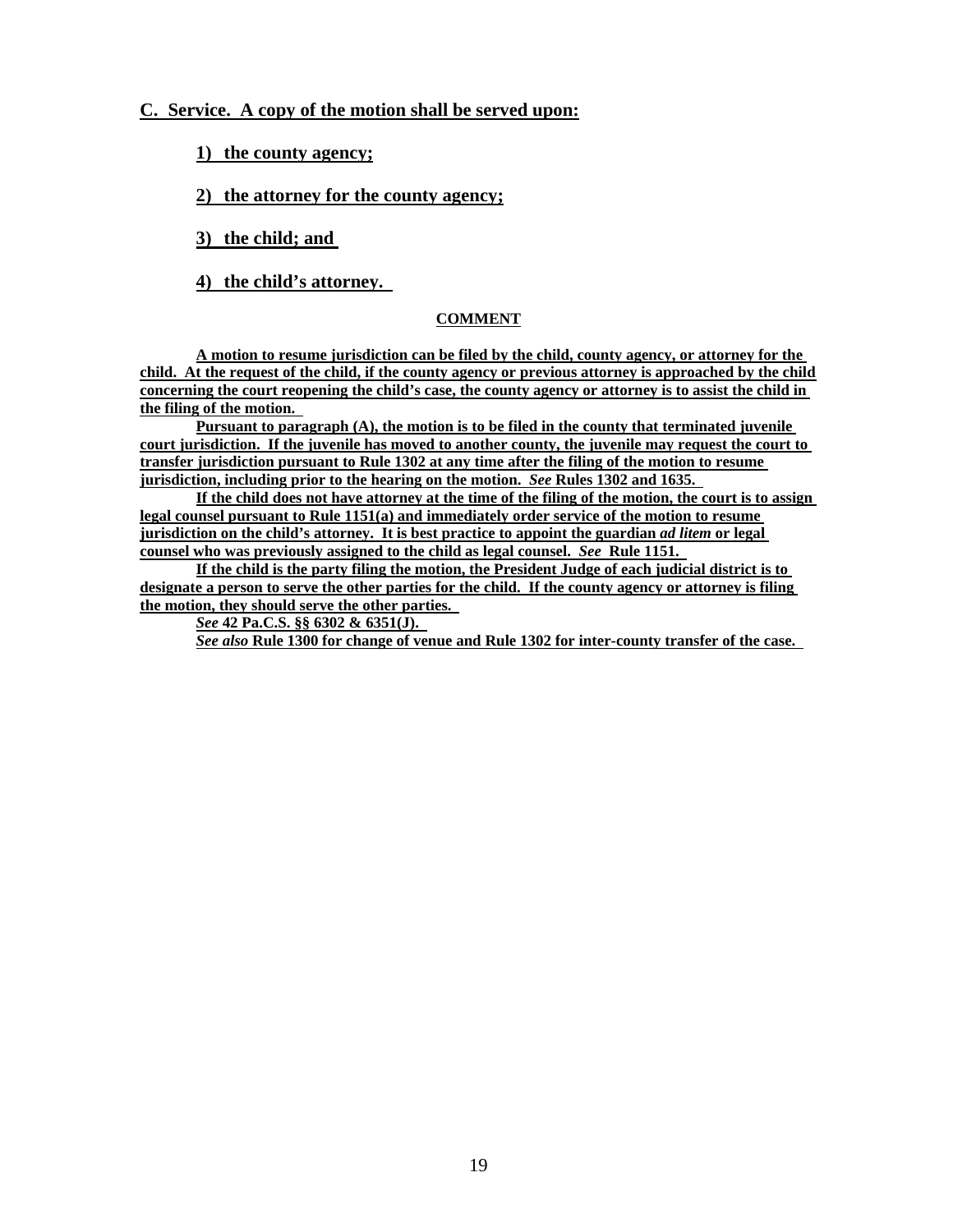### **C. Service. A copy of the motion shall be served upon:**

**1) the county agency;** 

**2) the attorney for the county agency;** 

**3) the child; and** 

**4) the child's attorney.** 

#### **COMMENT**

**A motion to resume jurisdiction can be filed by the child, county agency, or attorney for the child. At the request of the child, if the county agency or previous attorney is approached by the child concerning the court reopening the child's case, the county agency or attorney is to assist the child in the filing of the motion.** 

**Pursuant to paragraph (A), the motion is to be filed in the county that terminated juvenile court jurisdiction. If the juvenile has moved to another county, the juvenile may request the court to transfer jurisdiction pursuant to Rule 1302 at any time after the filing of the motion to resume jurisdiction, including prior to the hearing on the motion.** *See* **Rules 1302 and 1635.** 

**If the child does not have attorney at the time of the filing of the motion, the court is to assign legal counsel pursuant to Rule 1151(a) and immediately order service of the motion to resume jurisdiction on the child's attorney. It is best practice to appoint the guardian** *ad litem* **or legal counsel who was previously assigned to the child as legal counsel.** *See* **Rule 1151.** 

**If the child is the party filing the motion, the President Judge of each judicial district is to designate a person to serve the other parties for the child. If the county agency or attorney is filing the motion, they should serve the other parties.** 

*See* **42 Pa.C.S. §§ 6302 & 6351(J).** 

*See also* **Rule 1300 for change of venue and Rule 1302 for inter-county transfer of the case.**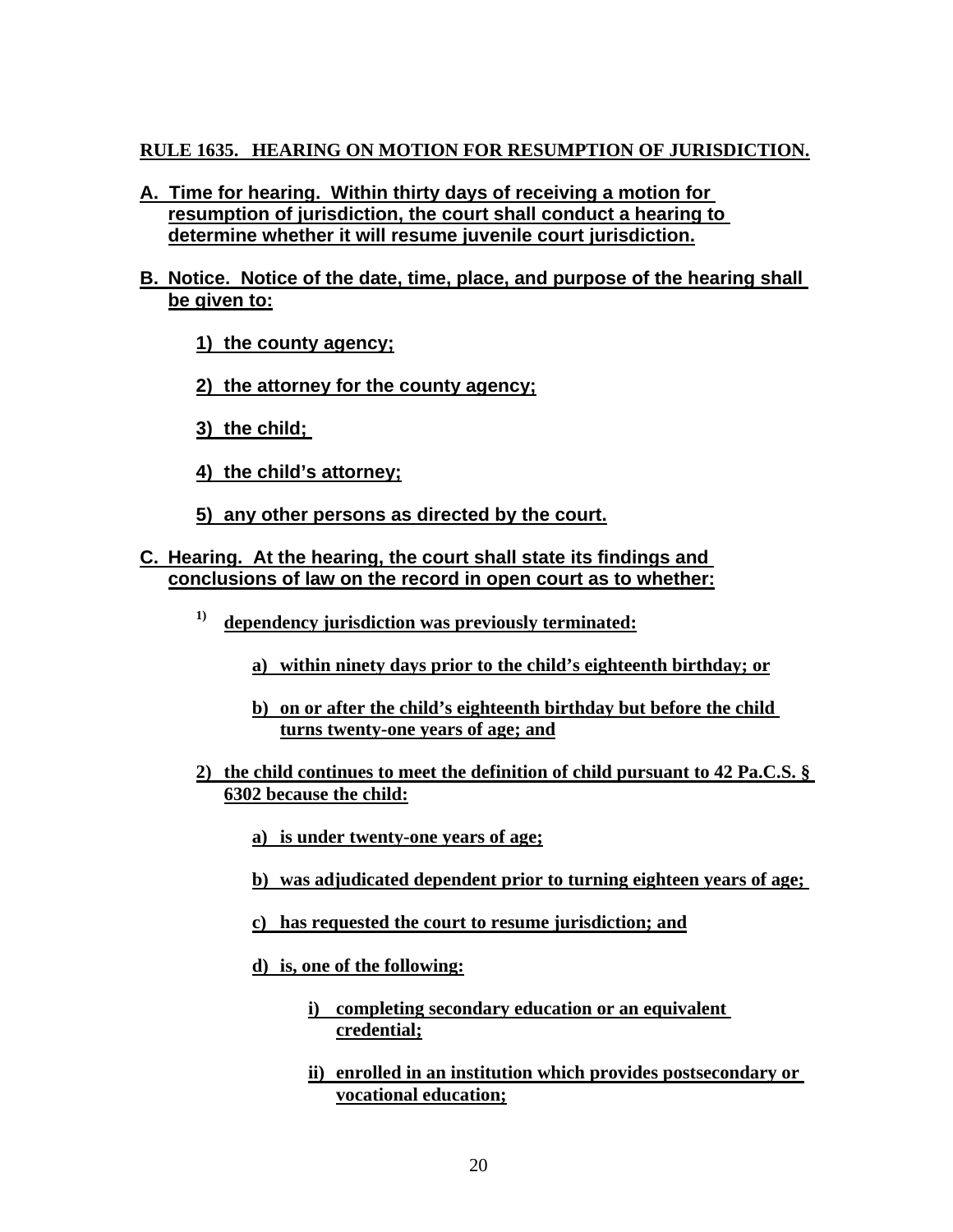# **RULE 1635. HEARING ON MOTION FOR RESUMPTION OF JURISDICTION.**

- **A. Time for hearing. Within thirty days of receiving a motion for resumption of jurisdiction, the court shall conduct a hearing to determine whether it will resume juvenile court jurisdiction.**
- **B. Notice. Notice of the date, time, place, and purpose of the hearing shall be given to:** 
	- **1) the county agency;**
	- **2) the attorney for the county agency;**
	- **3) the child;**
	- **4) the child's attorney;**
	- **5) any other persons as directed by the court.**
- **C. Hearing. At the hearing, the court shall state its findings and conclusions of law on the record in open court as to whether:** 
	- **1) dependency jurisdiction was previously terminated:** 
		- **a) within ninety days prior to the child's eighteenth birthday; or**
		- **b) on or after the child's eighteenth birthday but before the child turns twenty-one years of age; and**
	- **2) the child continues to meet the definition of child pursuant to 42 Pa.C.S. § 6302 because the child:** 
		- **a) is under twenty-one years of age;**
		- **b) was adjudicated dependent prior to turning eighteen years of age;**
		- **c) has requested the court to resume jurisdiction; and**
		- **d) is, one of the following:** 
			- **i) completing secondary education or an equivalent credential;**
			- **ii) enrolled in an institution which provides postsecondary or vocational education;**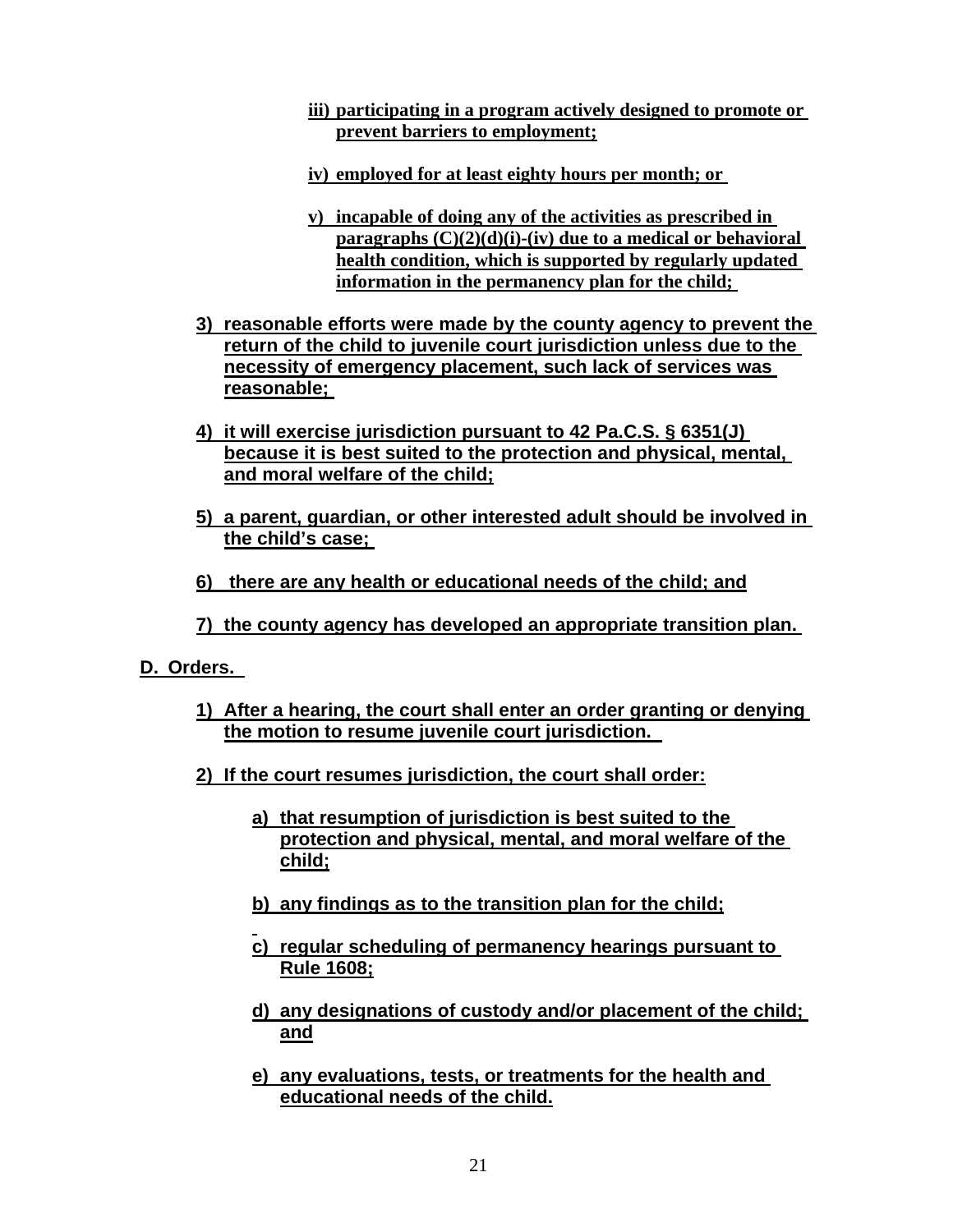- **iii) participating in a program actively designed to promote or prevent barriers to employment;**
- **iv) employed for at least eighty hours per month; or**
- **v) incapable of doing any of the activities as prescribed in paragraphs (C)(2)(d)(i)-(iv) due to a medical or behavioral health condition, which is supported by regularly updated information in the permanency plan for the child;**
- **3) reasonable efforts were made by the county agency to prevent the return of the child to juvenile court jurisdiction unless due to the necessity of emergency placement, such lack of services was reasonable;**
- **4) it will exercise jurisdiction pursuant to 42 Pa.C.S. § 6351(J) because it is best suited to the protection and physical, mental, and moral welfare of the child;**
- **5) a parent, guardian, or other interested adult should be involved in the child's case;**
- **6) there are any health or educational needs of the child; and**
- **7) the county agency has developed an appropriate transition plan.**
- **D. Orders.**

- **1) After a hearing, the court shall enter an order granting or denying the motion to resume juvenile court jurisdiction.**
- **2) If the court resumes jurisdiction, the court shall order:** 
	- **a) that resumption of jurisdiction is best suited to the protection and physical, mental, and moral welfare of the child;**
	- **b) any findings as to the transition plan for the child;**
	- **c) regular scheduling of permanency hearings pursuant to Rule 1608;**
	- **d) any designations of custody and/or placement of the child; and**
	- **e) any evaluations, tests, or treatments for the health and educational needs of the child.**